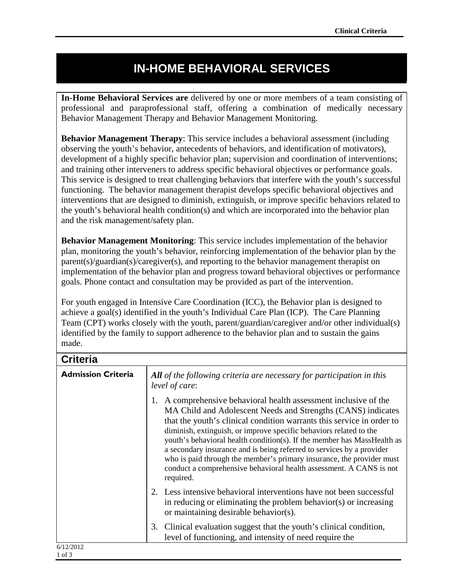## **IN-HOME BEHAVIORAL SERVICES**

**In-Home Behavioral Services are** delivered by one or more members of a team consisting of professional and paraprofessional staff, offering a combination of medically necessary Behavior Management Therapy and Behavior Management Monitoring.

**Behavior Management Therapy:** This service includes a behavioral assessment (including observing the youth's behavior, antecedents of behaviors, and identification of motivators), development of a highly specific behavior plan; supervision and coordination of interventions; and training other interveners to address specific behavioral objectives or performance goals. This service is designed to treat challenging behaviors that interfere with the youth's successful functioning. The behavior management therapist develops specific behavioral objectives and interventions that are designed to diminish, extinguish, or improve specific behaviors related to the youth's behavioral health condition(s) and which are incorporated into the behavior plan and the risk management/safety plan.

**Behavior Management Monitoring**: This service includes implementation of the behavior plan, monitoring the youth's behavior, reinforcing implementation of the behavior plan by the parent(s)/guardian(s)/caregiver(s), and reporting to the behavior management therapist on implementation of the behavior plan and progress toward behavioral objectives or performance goals. Phone contact and consultation may be provided as part of the intervention.

For youth engaged in Intensive Care Coordination (ICC), the Behavior plan is designed to achieve a goal(s) identified in the youth's Individual Care Plan (ICP). The Care Planning Team (CPT) works closely with the youth, parent/guardian/caregiver and/or other individual(s) identified by the family to support adherence to the behavior plan and to sustain the gains made.

| <b>Criteria</b>           |                                                                                                                                                                                                                                                                                                                                                                                                                                                                                                                                                                                               |
|---------------------------|-----------------------------------------------------------------------------------------------------------------------------------------------------------------------------------------------------------------------------------------------------------------------------------------------------------------------------------------------------------------------------------------------------------------------------------------------------------------------------------------------------------------------------------------------------------------------------------------------|
| <b>Admission Criteria</b> | All of the following criteria are necessary for participation in this<br>level of care:                                                                                                                                                                                                                                                                                                                                                                                                                                                                                                       |
|                           | A comprehensive behavioral health assessment inclusive of the<br>MA Child and Adolescent Needs and Strengths (CANS) indicates<br>that the youth's clinical condition warrants this service in order to<br>diminish, extinguish, or improve specific behaviors related to the<br>youth's behavioral health condition(s). If the member has MassHealth as<br>a secondary insurance and is being referred to services by a provider<br>who is paid through the member's primary insurance, the provider must<br>conduct a comprehensive behavioral health assessment. A CANS is not<br>required. |
|                           | Less intensive behavioral interventions have not been successful<br>in reducing or eliminating the problem behavior(s) or increasing<br>or maintaining desirable behavior(s).                                                                                                                                                                                                                                                                                                                                                                                                                 |
|                           | Clinical evaluation suggest that the youth's clinical condition,<br>3.<br>level of functioning, and intensity of need require the                                                                                                                                                                                                                                                                                                                                                                                                                                                             |
| 6/12/2012<br>1 of 3       |                                                                                                                                                                                                                                                                                                                                                                                                                                                                                                                                                                                               |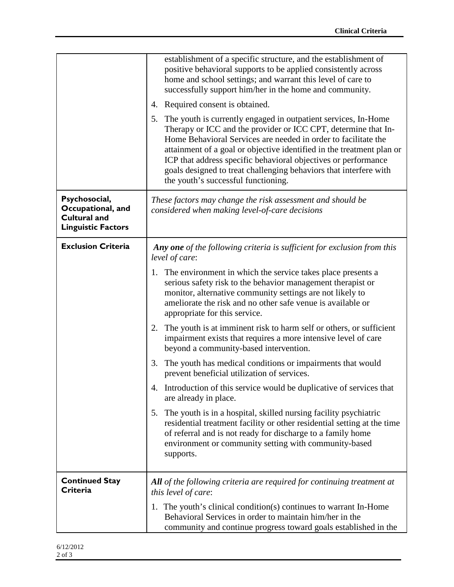|                                                                                        | establishment of a specific structure, and the establishment of<br>positive behavioral supports to be applied consistently across<br>home and school settings; and warrant this level of care to<br>successfully support him/her in the home and community.                                                                                                                                                                                                     |
|----------------------------------------------------------------------------------------|-----------------------------------------------------------------------------------------------------------------------------------------------------------------------------------------------------------------------------------------------------------------------------------------------------------------------------------------------------------------------------------------------------------------------------------------------------------------|
|                                                                                        | Required consent is obtained.<br>4.                                                                                                                                                                                                                                                                                                                                                                                                                             |
|                                                                                        | The youth is currently engaged in outpatient services, In-Home<br>5.<br>Therapy or ICC and the provider or ICC CPT, determine that In-<br>Home Behavioral Services are needed in order to facilitate the<br>attainment of a goal or objective identified in the treatment plan or<br>ICP that address specific behavioral objectives or performance<br>goals designed to treat challenging behaviors that interfere with<br>the youth's successful functioning. |
| Psychosocial,<br>Occupational, and<br><b>Cultural and</b><br><b>Linguistic Factors</b> | These factors may change the risk assessment and should be<br>considered when making level-of-care decisions                                                                                                                                                                                                                                                                                                                                                    |
| <b>Exclusion Criteria</b>                                                              | Any one of the following criteria is sufficient for exclusion from this<br>level of care:                                                                                                                                                                                                                                                                                                                                                                       |
|                                                                                        | 1. The environment in which the service takes place presents a<br>serious safety risk to the behavior management therapist or<br>monitor, alternative community settings are not likely to<br>ameliorate the risk and no other safe venue is available or<br>appropriate for this service.                                                                                                                                                                      |
|                                                                                        | 2. The youth is at imminent risk to harm self or others, or sufficient<br>impairment exists that requires a more intensive level of care<br>beyond a community-based intervention.                                                                                                                                                                                                                                                                              |
|                                                                                        | 3. The youth has medical conditions or impairments that would<br>prevent beneficial utilization of services.                                                                                                                                                                                                                                                                                                                                                    |
|                                                                                        | 4. Introduction of this service would be duplicative of services that<br>are already in place.                                                                                                                                                                                                                                                                                                                                                                  |
|                                                                                        | The youth is in a hospital, skilled nursing facility psychiatric<br>5.<br>residential treatment facility or other residential setting at the time<br>of referral and is not ready for discharge to a family home<br>environment or community setting with community-based<br>supports.                                                                                                                                                                          |
| <b>Continued Stay</b><br>Criteria                                                      | <b>All</b> of the following criteria are required for continuing treatment at<br>this level of care:                                                                                                                                                                                                                                                                                                                                                            |
|                                                                                        | 1. The youth's clinical condition(s) continues to warrant In-Home<br>Behavioral Services in order to maintain him/her in the<br>community and continue progress toward goals established in the                                                                                                                                                                                                                                                                 |